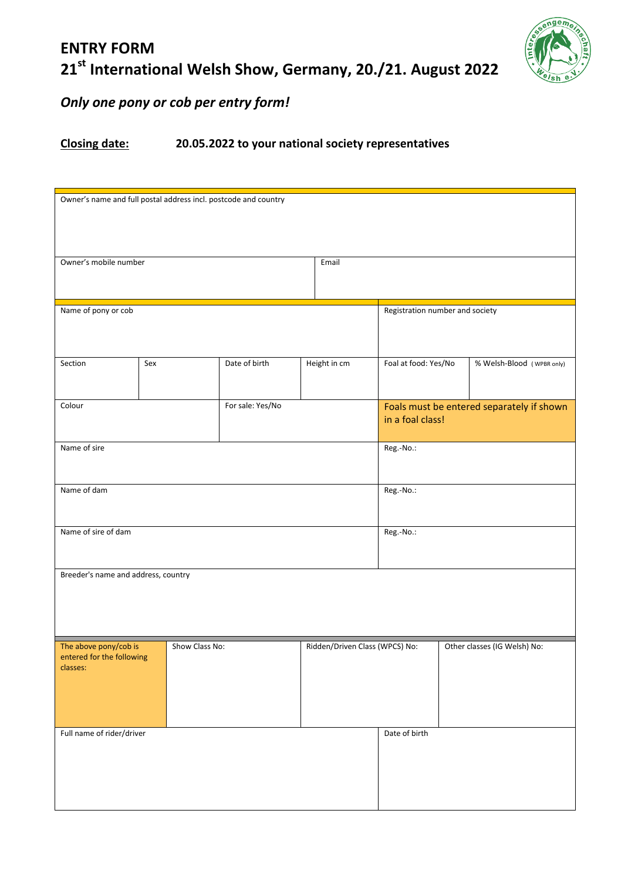## **ENTRY FORM 21st International Welsh Show, Germany, 20./21. August 2022**



## *Only one pony or cob per entry form!*

## **Closing date: 20.05.2022 to your national society representatives**

| Owner's name and full postal address incl. postcode and country |                |                                 |                                |                                                               |                              |  |  |  |
|-----------------------------------------------------------------|----------------|---------------------------------|--------------------------------|---------------------------------------------------------------|------------------------------|--|--|--|
| Owner's mobile number                                           |                |                                 |                                |                                                               |                              |  |  |  |
| Name of pony or cob                                             |                | Registration number and society |                                |                                                               |                              |  |  |  |
| Section                                                         | Sex            | Date of birth                   | Height in cm                   | Foal at food: Yes/No                                          | % Welsh-Blood (WPBR only)    |  |  |  |
| Colour                                                          |                | For sale: Yes/No                |                                | Foals must be entered separately if shown<br>in a foal class! |                              |  |  |  |
| Name of sire                                                    |                | Reg.-No.:                       |                                |                                                               |                              |  |  |  |
| Name of dam                                                     |                | Reg.-No.:                       |                                |                                                               |                              |  |  |  |
| Name of sire of dam                                             |                |                                 |                                | Reg.-No.:                                                     |                              |  |  |  |
| Breeder's name and address, country                             |                |                                 |                                |                                                               |                              |  |  |  |
| The above pony/cob is<br>entered for the following<br>classes:  | Show Class No: |                                 | Ridden/Driven Class (WPCS) No: |                                                               | Other classes (IG Welsh) No: |  |  |  |
| Full name of rider/driver                                       |                |                                 |                                | Date of birth                                                 |                              |  |  |  |